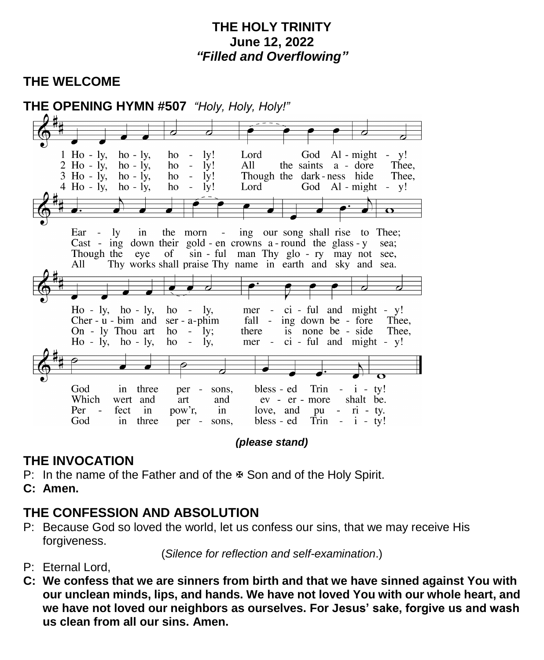### **THE HOLY TRINITY June 12, 2022** *"Filled and Overflowing"*

## **THE WELCOME**



*(please stand)*

## **THE INVOCATION**

P: In the name of the Father and of the  $\Phi$  Son and of the Holy Spirit.

**C: Amen.** 

## **THE CONFESSION AND ABSOLUTION**

P: Because God so loved the world, let us confess our sins, that we may receive His forgiveness.

(*Silence for reflection and self-examination*.)

- P: Eternal Lord,
- **C: We confess that we are sinners from birth and that we have sinned against You with our unclean minds, lips, and hands. We have not loved You with our whole heart, and we have not loved our neighbors as ourselves. For Jesus' sake, forgive us and wash us clean from all our sins. Amen.**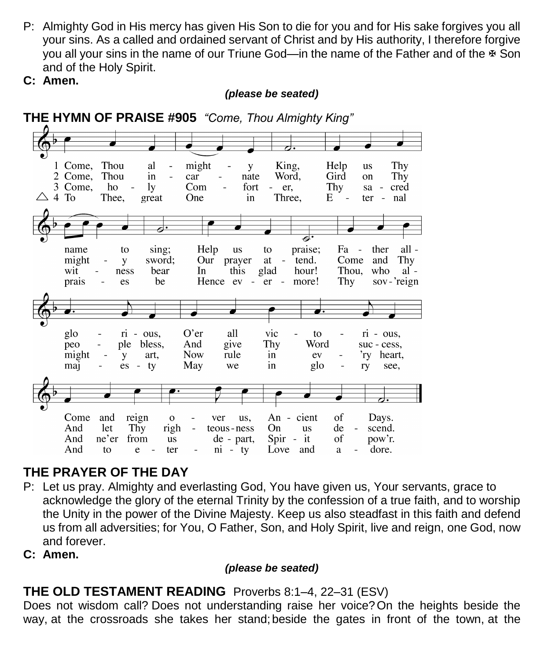- P: Almighty God in His mercy has given His Son to die for you and for His sake forgives you all your sins. As a called and ordained servant of Christ and by His authority, I therefore forgive you all your sins in the name of our Triune God—in the name of the Father and of the  $\frac{1}{2}$  Son and of the Holy Spirit.
- **C: Amen.**

*(please be seated)*



## **THE PRAYER OF THE DAY**

- P: Let us pray. Almighty and everlasting God, You have given us, Your servants, grace to acknowledge the glory of the eternal Trinity by the confession of a true faith, and to worship the Unity in the power of the Divine Majesty. Keep us also steadfast in this faith and defend us from all adversities; for You, O Father, Son, and Holy Spirit, live and reign, one God, now and forever.
- **C: Amen.**

#### *(please be seated)*

## **THE OLD TESTAMENT READING** Proverbs 8:1–4, 22–31 (ESV)

Does not wisdom call? Does not understanding raise her voice?On the heights beside the way, at the crossroads she takes her stand;beside the gates in front of the town, at the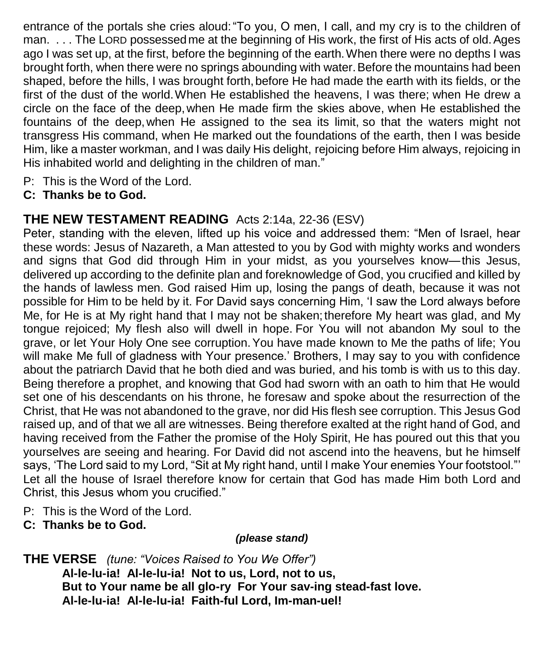entrance of the portals she cries aloud:"To you, O men, I call, and my cry is to the children of man. . . . The LORD possessed me at the beginning of His work, the first of His acts of old. Ages ago I was set up, at the first, before the beginning of the earth.When there were no depths I was brought forth, when there were no springs abounding with water.Before the mountains had been shaped, before the hills, I was brought forth, before He had made the earth with its fields, or the first of the dust of the world.When He established the heavens, I was there; when He drew a circle on the face of the deep,when He made firm the skies above, when He established the fountains of the deep,when He assigned to the sea its limit, so that the waters might not transgress His command, when He marked out the foundations of the earth, then I was beside Him, like a master workman, and I was daily His delight, rejoicing before Him always, rejoicing in His inhabited world and delighting in the children of man."

- P: This is the Word of the Lord.
- **C: Thanks be to God.**

## **THE NEW TESTAMENT READING** Acts 2:14a, 22-36 (ESV)

Peter, standing with the eleven, lifted up his voice and addressed them: "Men of Israel, hear these words: Jesus of Nazareth, a Man attested to you by God with mighty works and wonders and signs that God did through Him in your midst, as you yourselves know—this Jesus, delivered up according to the definite plan and foreknowledge of God, you crucified and killed by the hands of lawless men. God raised Him up, losing the pangs of death, because it was not possible for Him to be held by it. For David says concerning Him, 'I saw the Lord always before Me, for He is at My right hand that I may not be shaken; therefore My heart was glad, and My tongue rejoiced; My flesh also will dwell in hope. For You will not abandon My soul to the grave, or let Your Holy One see corruption.You have made known to Me the paths of life; You will make Me full of gladness with Your presence.' Brothers, I may say to you with confidence about the patriarch David that he both died and was buried, and his tomb is with us to this day. Being therefore a prophet, and knowing that God had sworn with an oath to him that He would set one of his descendants on his throne, he foresaw and spoke about the resurrection of the Christ, that He was not abandoned to the grave, nor did His flesh see corruption. This Jesus God raised up, and of that we all are witnesses. Being therefore exalted at the right hand of God, and having received from the Father the promise of the Holy Spirit, He has poured out this that you yourselves are seeing and hearing. For David did not ascend into the heavens, but he himself says, 'The Lord said to my Lord, "Sit at My right hand, until I make Your enemies Your footstool."' Let all the house of Israel therefore know for certain that God has made Him both Lord and Christ, this Jesus whom you crucified."

- P: This is the Word of the Lord.
- **C: Thanks be to God.**

#### *(please stand)*

**THE VERSE** *(tune: "Voices Raised to You We Offer")* **Al-le-lu-ia! Al-le-lu-ia! Not to us, Lord, not to us, But to Your name be all glo-ry For Your sav-ing stead-fast love. Al-le-lu-ia! Al-le-lu-ia! Faith-ful Lord, Im-man-uel!**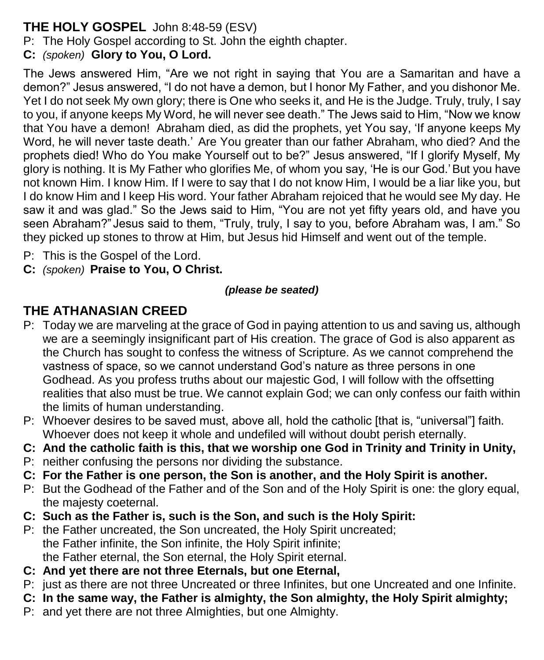## **THE HOLY GOSPEL** John 8:48-59 (ESV)

P: The Holy Gospel according to St. John the eighth chapter.

**C:** *(spoken)* **Glory to You, O Lord.**

The Jews answered Him, "Are we not right in saying that You are a Samaritan and have a demon?" Jesus answered, "I do not have a demon, but I honor My Father, and you dishonor Me. Yet I do not seek My own glory; there is One who seeks it, and He is the Judge. Truly, truly, I say to you, if anyone keeps My Word, he will never see death." The Jews said to Him, "Now we know that You have a demon! Abraham died, as did the prophets, yet You say, 'If anyone keeps My Word, he will never taste death.' Are You greater than our father Abraham, who died? And the prophets died! Who do You make Yourself out to be?" Jesus answered, "If I glorify Myself, My glory is nothing. It is My Father who glorifies Me, of whom you say, 'He is our God.'But you have not known Him. I know Him. If I were to say that I do not know Him, I would be a liar like you, but I do know Him and I keep His word. Your father Abraham rejoiced that he would see My day. He saw it and was glad." So the Jews said to Him, "You are not yet fifty years old, and have you seen Abraham?" Jesus said to them, "Truly, truly, I say to you, before Abraham was, I am." So they picked up stones to throw at Him, but Jesus hid Himself and went out of the temple.

P: This is the Gospel of the Lord.

**C:** *(spoken)* **Praise to You, O Christ.**

### *(please be seated)*

## **THE ATHANASIAN CREED**

- P: Today we are marveling at the grace of God in paying attention to us and saving us, although we are a seemingly insignificant part of His creation. The grace of God is also apparent as the Church has sought to confess the witness of Scripture. As we cannot comprehend the vastness of space, so we cannot understand God's nature as three persons in one Godhead. As you profess truths about our majestic God, I will follow with the offsetting realities that also must be true. We cannot explain God; we can only confess our faith within the limits of human understanding.
- P: Whoever desires to be saved must, above all, hold the catholic [that is, "universal"] faith. Whoever does not keep it whole and undefiled will without doubt perish eternally.
- **C: And the catholic faith is this, that we worship one God in Trinity and Trinity in Unity,**
- P: neither confusing the persons nor dividing the substance.
- **C: For the Father is one person, the Son is another, and the Holy Spirit is another.**
- P: But the Godhead of the Father and of the Son and of the Holy Spirit is one: the glory equal, the majesty coeternal.
- **C: Such as the Father is, such is the Son, and such is the Holy Spirit:**
- P: the Father uncreated, the Son uncreated, the Holy Spirit uncreated; the Father infinite, the Son infinite, the Holy Spirit infinite; the Father eternal, the Son eternal, the Holy Spirit eternal.
- **C: And yet there are not three Eternals, but one Eternal,**
- P: just as there are not three Uncreated or three Infinites, but one Uncreated and one Infinite.
- **C: In the same way, the Father is almighty, the Son almighty, the Holy Spirit almighty;**
- P: and yet there are not three Almighties, but one Almighty.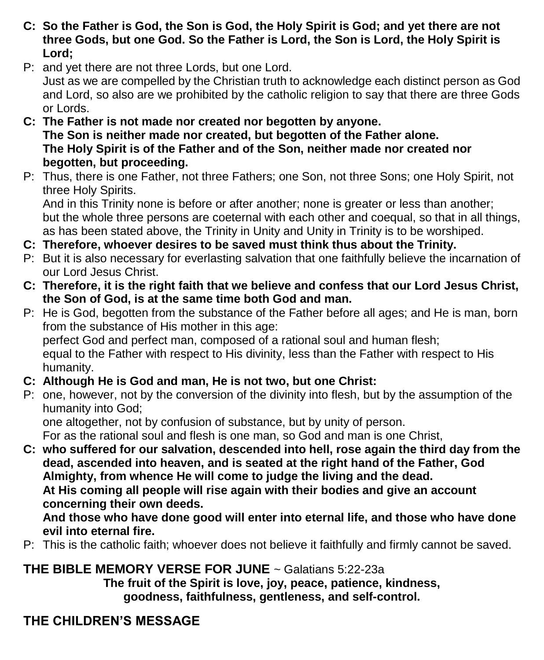- **C: So the Father is God, the Son is God, the Holy Spirit is God; and yet there are not three Gods, but one God. So the Father is Lord, the Son is Lord, the Holy Spirit is Lord;**
- P: and yet there are not three Lords, but one Lord. Just as we are compelled by the Christian truth to acknowledge each distinct person as God and Lord, so also are we prohibited by the catholic religion to say that there are three Gods or Lords.
- **C: The Father is not made nor created nor begotten by anyone. The Son is neither made nor created, but begotten of the Father alone. The Holy Spirit is of the Father and of the Son, neither made nor created nor begotten, but proceeding.**
- P: Thus, there is one Father, not three Fathers; one Son, not three Sons; one Holy Spirit, not three Holy Spirits.

And in this Trinity none is before or after another; none is greater or less than another; but the whole three persons are coeternal with each other and coequal, so that in all things, as has been stated above, the Trinity in Unity and Unity in Trinity is to be worshiped.

- **C: Therefore, whoever desires to be saved must think thus about the Trinity.**
- P: But it is also necessary for everlasting salvation that one faithfully believe the incarnation of our Lord Jesus Christ.
- **C: Therefore, it is the right faith that we believe and confess that our Lord Jesus Christ, the Son of God, is at the same time both God and man.**
- P: He is God, begotten from the substance of the Father before all ages; and He is man, born from the substance of His mother in this age: perfect God and perfect man, composed of a rational soul and human flesh; equal to the Father with respect to His divinity, less than the Father with respect to His humanity.
- **C: Although He is God and man, He is not two, but one Christ:**
- P: one, however, not by the conversion of the divinity into flesh, but by the assumption of the humanity into God;

one altogether, not by confusion of substance, but by unity of person.

For as the rational soul and flesh is one man, so God and man is one Christ,

**C: who suffered for our salvation, descended into hell, rose again the third day from the dead, ascended into heaven, and is seated at the right hand of the Father, God Almighty, from whence He will come to judge the living and the dead. At His coming all people will rise again with their bodies and give an account concerning their own deeds.**

### **And those who have done good will enter into eternal life, and those who have done evil into eternal fire.**

P: This is the catholic faith; whoever does not believe it faithfully and firmly cannot be saved.

## **THE BIBLE MEMORY VERSE FOR JUNE** ~ Galatians 5:22-23a

**The fruit of the Spirit is love, joy, peace, patience, kindness, goodness, faithfulness, gentleness, and self-control.**

# **THE CHILDREN'S MESSAGE**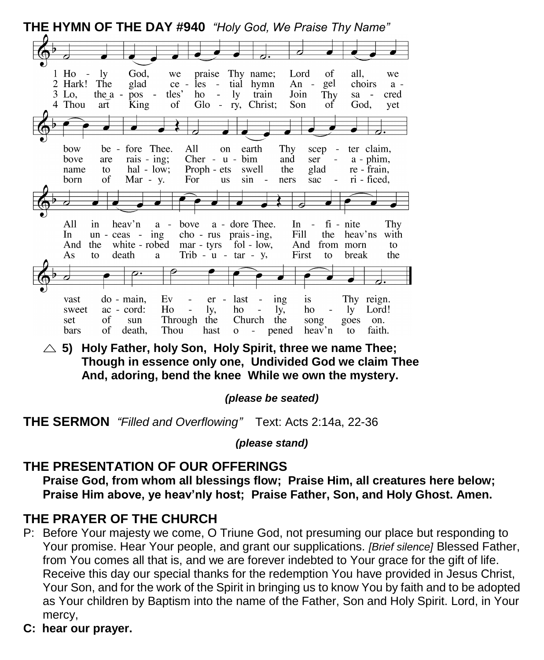

**5) Holy Father, holy Son, Holy Spirit, three we name Thee; Though in essence only one, Undivided God we claim Thee And, adoring, bend the knee While we own the mystery.**

#### *(please be seated)*

**THE SERMON** *"Filled and Overflowing"* Text: Acts 2:14a, 22-36

*(please stand)*

## **THE PRESENTATION OF OUR OFFERINGS**

**Praise God, from whom all blessings flow; Praise Him, all creatures here below; Praise Him above, ye heav'nly host; Praise Father, Son, and Holy Ghost. Amen.** 

## **THE PRAYER OF THE CHURCH**

- P: Before Your majesty we come, O Triune God, not presuming our place but responding to Your promise. Hear Your people, and grant our supplications. *[Brief silence]* Blessed Father, from You comes all that is, and we are forever indebted to Your grace for the gift of life. Receive this day our special thanks for the redemption You have provided in Jesus Christ, Your Son, and for the work of the Spirit in bringing us to know You by faith and to be adopted as Your children by Baptism into the name of the Father, Son and Holy Spirit. Lord, in Your mercy,
- **C: hear our prayer.**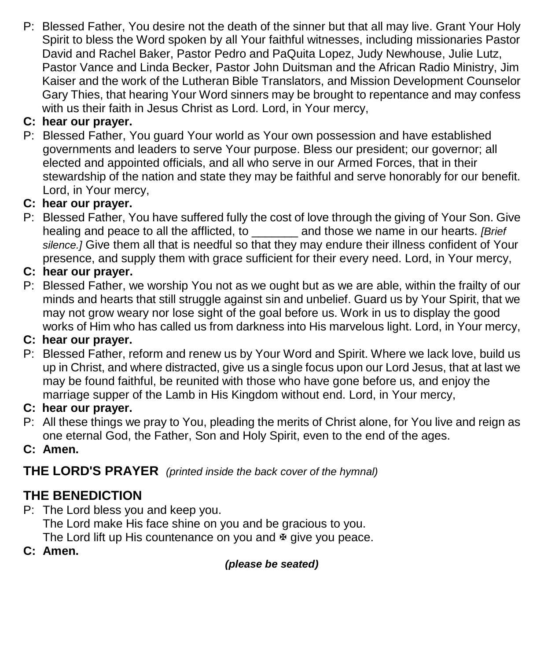P: Blessed Father, You desire not the death of the sinner but that all may live. Grant Your Holy Spirit to bless the Word spoken by all Your faithful witnesses, including missionaries Pastor David and Rachel Baker, Pastor Pedro and PaQuita Lopez, Judy Newhouse, Julie Lutz, Pastor Vance and Linda Becker, Pastor John Duitsman and the African Radio Ministry, Jim Kaiser and the work of the Lutheran Bible Translators, and Mission Development Counselor Gary Thies, that hearing Your Word sinners may be brought to repentance and may confess with us their faith in Jesus Christ as Lord. Lord, in Your mercy,

## **C: hear our prayer.**

P: Blessed Father, You guard Your world as Your own possession and have established governments and leaders to serve Your purpose. Bless our president; our governor; all elected and appointed officials, and all who serve in our Armed Forces, that in their stewardship of the nation and state they may be faithful and serve honorably for our benefit. Lord, in Your mercy,

## **C: hear our prayer.**

P: Blessed Father, You have suffered fully the cost of love through the giving of Your Son. Give healing and peace to all the afflicted, to \_\_\_\_\_\_\_ and those we name in our hearts. *[Brief silence.]* Give them all that is needful so that they may endure their illness confident of Your presence, and supply them with grace sufficient for their every need. Lord, in Your mercy,

## **C: hear our prayer.**

P: Blessed Father, we worship You not as we ought but as we are able, within the frailty of our minds and hearts that still struggle against sin and unbelief. Guard us by Your Spirit, that we may not grow weary nor lose sight of the goal before us. Work in us to display the good works of Him who has called us from darkness into His marvelous light. Lord, in Your mercy,

## **C: hear our prayer.**

P: Blessed Father, reform and renew us by Your Word and Spirit. Where we lack love, build us up in Christ, and where distracted, give us a single focus upon our Lord Jesus, that at last we may be found faithful, be reunited with those who have gone before us, and enjoy the marriage supper of the Lamb in His Kingdom without end. Lord, in Your mercy,

## **C: hear our prayer.**

- P: All these things we pray to You, pleading the merits of Christ alone, for You live and reign as one eternal God, the Father, Son and Holy Spirit, even to the end of the ages.
- **C: Amen.**

# **THE LORD'S PRAYER** *(printed inside the back cover of the hymnal)*

# **THE BENEDICTION**

P: The Lord bless you and keep you.

The Lord make His face shine on you and be gracious to you.

The Lord lift up His countenance on you and  $\Phi$  give you peace.

**C: Amen.**

## *(please be seated)*